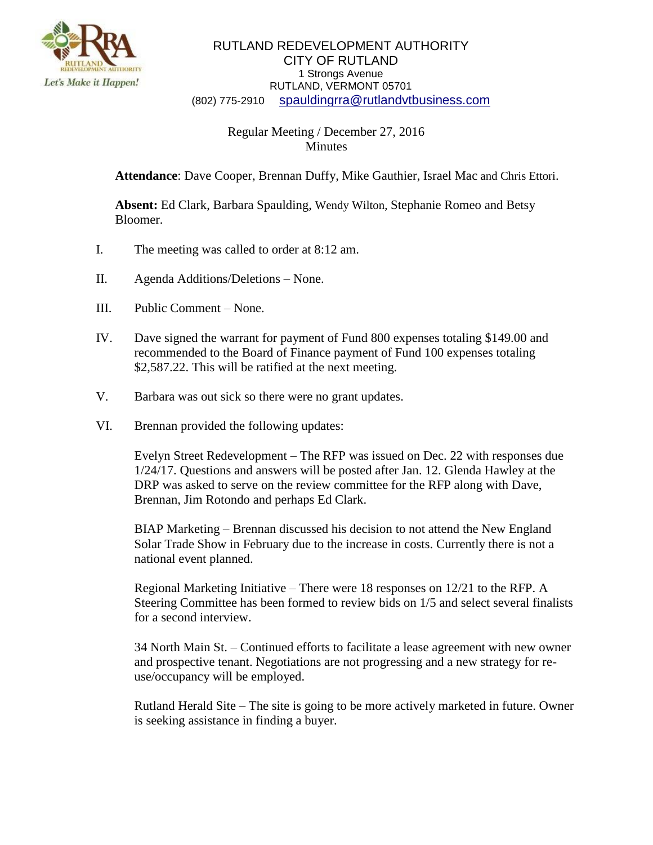

## RUTLAND REDEVELOPMENT AUTHORITY CITY OF RUTLAND 1 Strongs Avenue RUTLAND, VERMONT 05701 (802) 775-2910 [spauldingrra@rutlandvtbusiness.com](mailto:allenrra@rutlandvtbusiness.com)

## Regular Meeting / December 27, 2016 Minutes

**Attendance**: Dave Cooper, Brennan Duffy, Mike Gauthier, Israel Mac and Chris Ettori.

**Absent:** Ed Clark, Barbara Spaulding, Wendy Wilton, Stephanie Romeo and Betsy Bloomer.

- I. The meeting was called to order at 8:12 am.
- II. Agenda Additions/Deletions None.
- III. Public Comment None.
- IV. Dave signed the warrant for payment of Fund 800 expenses totaling \$149.00 and recommended to the Board of Finance payment of Fund 100 expenses totaling \$2,587.22. This will be ratified at the next meeting.
- V. Barbara was out sick so there were no grant updates.
- VI. Brennan provided the following updates:

Evelyn Street Redevelopment – The RFP was issued on Dec. 22 with responses due 1/24/17. Questions and answers will be posted after Jan. 12. Glenda Hawley at the DRP was asked to serve on the review committee for the RFP along with Dave, Brennan, Jim Rotondo and perhaps Ed Clark.

BIAP Marketing – Brennan discussed his decision to not attend the New England Solar Trade Show in February due to the increase in costs. Currently there is not a national event planned.

Regional Marketing Initiative – There were 18 responses on 12/21 to the RFP. A Steering Committee has been formed to review bids on 1/5 and select several finalists for a second interview.

34 North Main St. – Continued efforts to facilitate a lease agreement with new owner and prospective tenant. Negotiations are not progressing and a new strategy for reuse/occupancy will be employed.

Rutland Herald Site – The site is going to be more actively marketed in future. Owner is seeking assistance in finding a buyer.